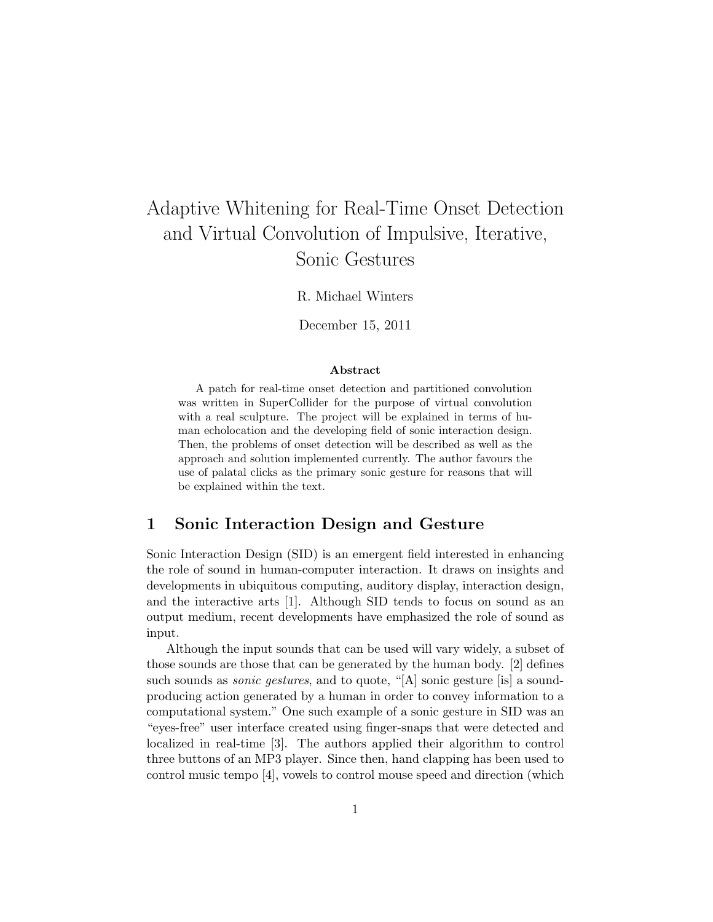# Adaptive Whitening for Real-Time Onset Detection and Virtual Convolution of Impulsive, Iterative, Sonic Gestures

R. Michael Winters

December 15, 2011

#### Abstract

A patch for real-time onset detection and partitioned convolution was written in SuperCollider for the purpose of virtual convolution with a real sculpture. The project will be explained in terms of human echolocation and the developing field of sonic interaction design. Then, the problems of onset detection will be described as well as the approach and solution implemented currently. The author favours the use of palatal clicks as the primary sonic gesture for reasons that will be explained within the text.

## 1 Sonic Interaction Design and Gesture

Sonic Interaction Design (SID) is an emergent field interested in enhancing the role of sound in human-computer interaction. It draws on insights and developments in ubiquitous computing, auditory display, interaction design, and the interactive arts [1]. Although SID tends to focus on sound as an output medium, recent developments have emphasized the role of sound as input.

Although the input sounds that can be used will vary widely, a subset of those sounds are those that can be generated by the human body. [2] defines such sounds as *sonic gestures*, and to quote, "[A] sonic gesture [is] a soundproducing action generated by a human in order to convey information to a computational system." One such example of a sonic gesture in SID was an "eyes-free" user interface created using finger-snaps that were detected and localized in real-time [3]. The authors applied their algorithm to control three buttons of an MP3 player. Since then, hand clapping has been used to control music tempo [4], vowels to control mouse speed and direction (which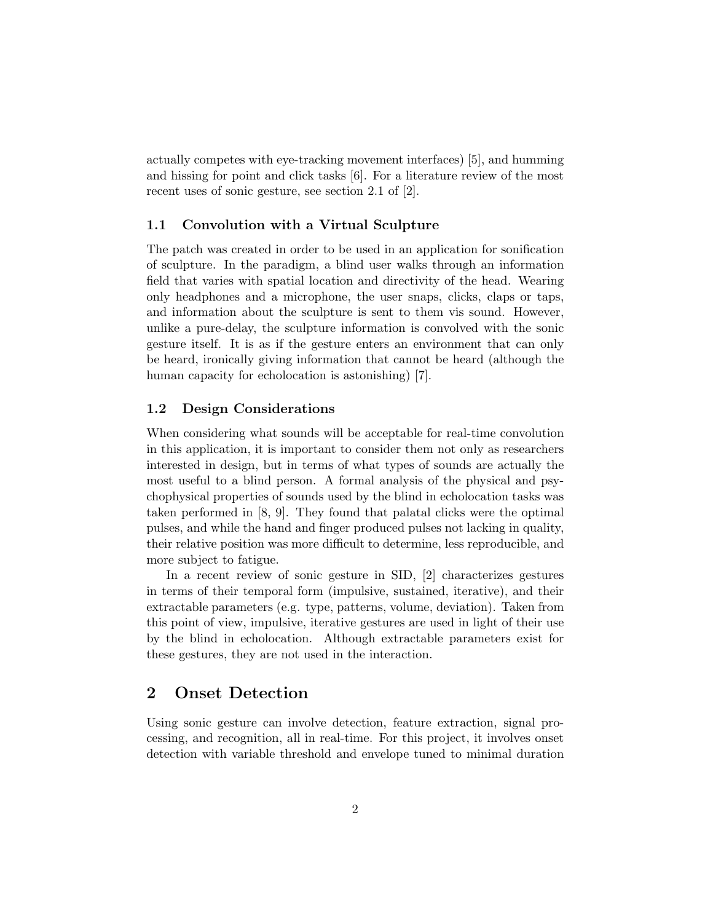actually competes with eye-tracking movement interfaces) [5], and humming and hissing for point and click tasks [6]. For a literature review of the most recent uses of sonic gesture, see section 2.1 of [2].

## 1.1 Convolution with a Virtual Sculpture

The patch was created in order to be used in an application for sonification of sculpture. In the paradigm, a blind user walks through an information field that varies with spatial location and directivity of the head. Wearing only headphones and a microphone, the user snaps, clicks, claps or taps, and information about the sculpture is sent to them vis sound. However, unlike a pure-delay, the sculpture information is convolved with the sonic gesture itself. It is as if the gesture enters an environment that can only be heard, ironically giving information that cannot be heard (although the human capacity for echolocation is astonishing) [7].

## 1.2 Design Considerations

When considering what sounds will be acceptable for real-time convolution in this application, it is important to consider them not only as researchers interested in design, but in terms of what types of sounds are actually the most useful to a blind person. A formal analysis of the physical and psychophysical properties of sounds used by the blind in echolocation tasks was taken performed in [8, 9]. They found that palatal clicks were the optimal pulses, and while the hand and finger produced pulses not lacking in quality, their relative position was more difficult to determine, less reproducible, and more subject to fatigue.

In a recent review of sonic gesture in SID, [2] characterizes gestures in terms of their temporal form (impulsive, sustained, iterative), and their extractable parameters (e.g. type, patterns, volume, deviation). Taken from this point of view, impulsive, iterative gestures are used in light of their use by the blind in echolocation. Although extractable parameters exist for these gestures, they are not used in the interaction.

## 2 Onset Detection

Using sonic gesture can involve detection, feature extraction, signal processing, and recognition, all in real-time. For this project, it involves onset detection with variable threshold and envelope tuned to minimal duration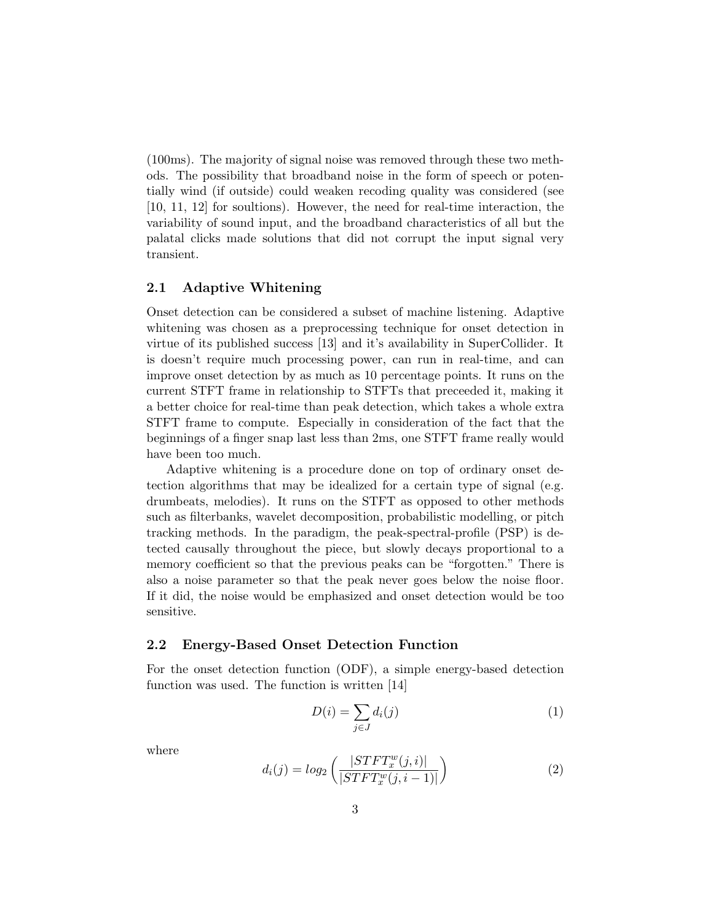(100ms). The majority of signal noise was removed through these two methods. The possibility that broadband noise in the form of speech or potentially wind (if outside) could weaken recoding quality was considered (see [10, 11, 12] for soultions). However, the need for real-time interaction, the variability of sound input, and the broadband characteristics of all but the palatal clicks made solutions that did not corrupt the input signal very transient.

## 2.1 Adaptive Whitening

Onset detection can be considered a subset of machine listening. Adaptive whitening was chosen as a preprocessing technique for onset detection in virtue of its published success [13] and it's availability in SuperCollider. It is doesn't require much processing power, can run in real-time, and can improve onset detection by as much as 10 percentage points. It runs on the current STFT frame in relationship to STFTs that preceeded it, making it a better choice for real-time than peak detection, which takes a whole extra STFT frame to compute. Especially in consideration of the fact that the beginnings of a finger snap last less than 2ms, one STFT frame really would have been too much.

Adaptive whitening is a procedure done on top of ordinary onset detection algorithms that may be idealized for a certain type of signal (e.g. drumbeats, melodies). It runs on the STFT as opposed to other methods such as filterbanks, wavelet decomposition, probabilistic modelling, or pitch tracking methods. In the paradigm, the peak-spectral-profile (PSP) is detected causally throughout the piece, but slowly decays proportional to a memory coefficient so that the previous peaks can be "forgotten." There is also a noise parameter so that the peak never goes below the noise floor. If it did, the noise would be emphasized and onset detection would be too sensitive.

## 2.2 Energy-Based Onset Detection Function

For the onset detection function (ODF), a simple energy-based detection function was used. The function is written [14]

$$
D(i) = \sum_{j \in J} d_i(j) \tag{1}
$$

where

$$
d_i(j) = log_2\left(\frac{|STFT_x^w(j,i)|}{|STFT_x^w(j,i-1)|}\right)
$$
\n(2)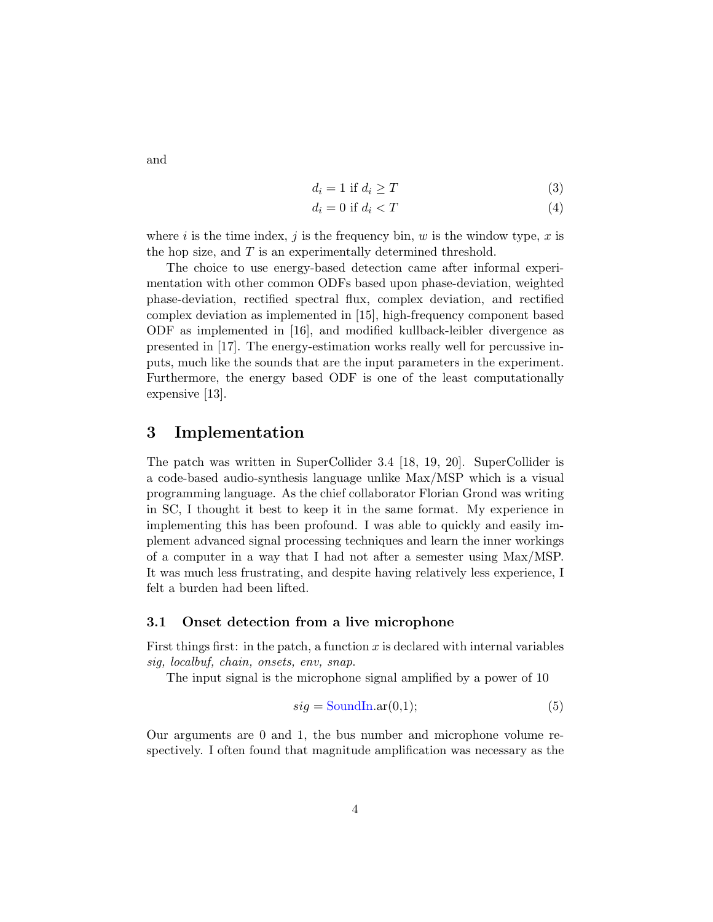$$
d_i = 1 \text{ if } d_i \ge T \tag{3}
$$

$$
d_i = 0 \text{ if } d_i < T \tag{4}
$$

where i is the time index, j is the frequency bin, w is the window type, x is the hop size, and  $T$  is an experimentally determined threshold.

The choice to use energy-based detection came after informal experimentation with other common ODFs based upon phase-deviation, weighted phase-deviation, rectified spectral flux, complex deviation, and rectified complex deviation as implemented in [15], high-frequency component based ODF as implemented in [16], and modified kullback-leibler divergence as presented in [17]. The energy-estimation works really well for percussive inputs, much like the sounds that are the input parameters in the experiment. Furthermore, the energy based ODF is one of the least computationally expensive [13].

## 3 Implementation

The patch was written in SuperCollider 3.4 [18, 19, 20]. SuperCollider is a code-based audio-synthesis language unlike Max/MSP which is a visual programming language. As the chief collaborator Florian Grond was writing in SC, I thought it best to keep it in the same format. My experience in implementing this has been profound. I was able to quickly and easily implement advanced signal processing techniques and learn the inner workings of a computer in a way that I had not after a semester using Max/MSP. It was much less frustrating, and despite having relatively less experience, I felt a burden had been lifted.

## 3.1 Onset detection from a live microphone

First things first: in the patch, a function  $x$  is declared with internal variables sig, localbuf, chain, onsets, env, snap.

The input signal is the microphone signal amplified by a power of 10

$$
sig = SoundIn.ar(0,1); \tag{5}
$$

Our arguments are 0 and 1, the bus number and microphone volume respectively. I often found that magnitude amplification was necessary as the

and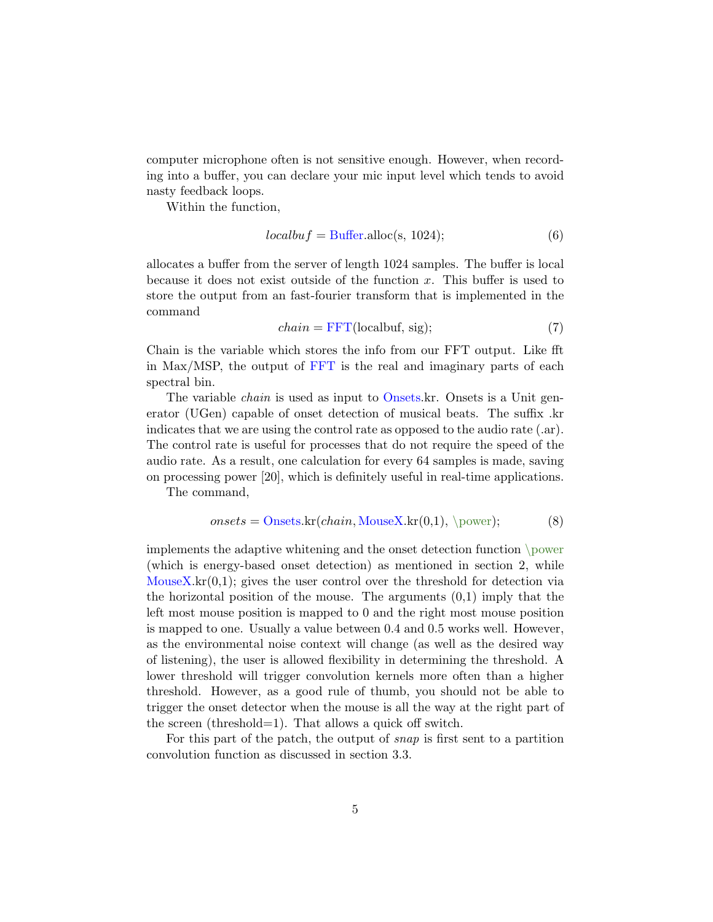computer microphone often is not sensitive enough. However, when recording into a buffer, you can declare your mic input level which tends to avoid nasty feedback loops.

Within the function,

$$
localbuf = \text{Buffer.alloc}(s, 1024); \tag{6}
$$

allocates a buffer from the server of length 1024 samples. The buffer is local because it does not exist outside of the function x. This buffer is used to store the output from an fast-fourier transform that is implemented in the command

$$
chain = FFT(localbuf, sig); \t(7)
$$

Chain is the variable which stores the info from our FFT output. Like fft in Max/MSP, the output of FFT is the real and imaginary parts of each spectral bin.

The variable *chain* is used as input to Onsets.kr. Onsets is a Unit generator (UGen) capable of onset detection of musical beats. The suffix .kr indicates that we are using the control rate as opposed to the audio rate (.ar). The control rate is useful for processes that do not require the speed of the audio rate. As a result, one calculation for every 64 samples is made, saving on processing power [20], which is definitely useful in real-time applications.

The command,

$$
onsets = \text{Onsets}.\text{kr}(chain, MouseX.\text{kr}(0,1), \text{power});\tag{8}
$$

implements the adaptive whitening and the onset detection function \power (which is energy-based onset detection) as mentioned in section 2, while Mouse $X$ .kr $(0,1)$ ; gives the user control over the threshold for detection via the horizontal position of the mouse. The arguments  $(0,1)$  imply that the left most mouse position is mapped to 0 and the right most mouse position is mapped to one. Usually a value between 0.4 and 0.5 works well. However, as the environmental noise context will change (as well as the desired way of listening), the user is allowed flexibility in determining the threshold. A lower threshold will trigger convolution kernels more often than a higher threshold. However, as a good rule of thumb, you should not be able to trigger the onset detector when the mouse is all the way at the right part of the screen (threshold=1). That allows a quick off switch.

For this part of the patch, the output of snap is first sent to a partition convolution function as discussed in section 3.3.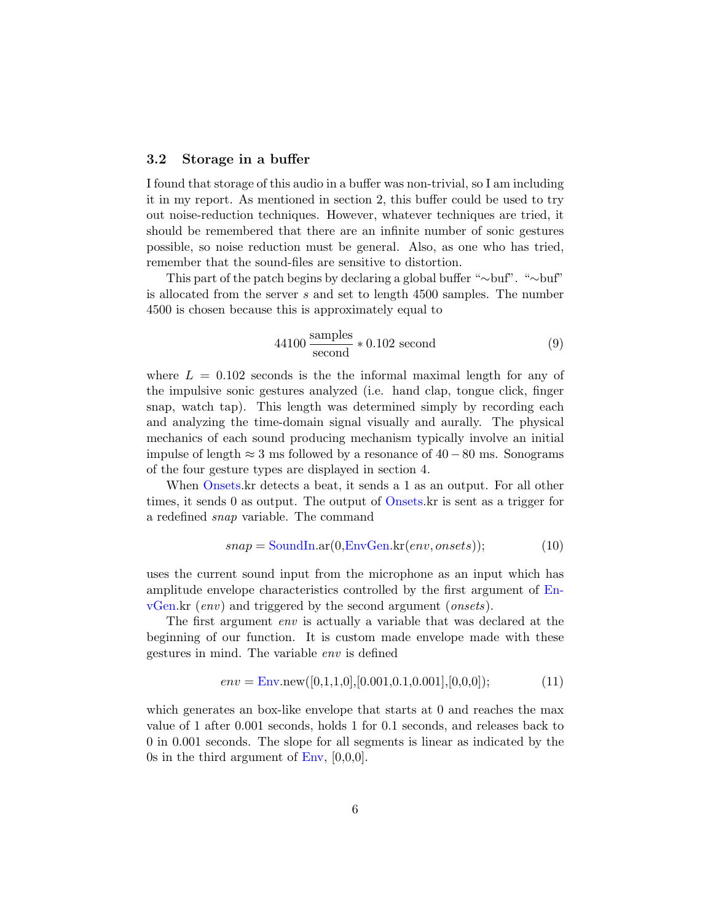## 3.2 Storage in a buffer

I found that storage of this audio in a buffer was non-trivial, so I am including it in my report. As mentioned in section 2, this buffer could be used to try out noise-reduction techniques. However, whatever techniques are tried, it should be remembered that there are an infinite number of sonic gestures possible, so noise reduction must be general. Also, as one who has tried, remember that the sound-files are sensitive to distortion.

This part of the patch begins by declaring a global buffer "∼buf". "∼buf" is allocated from the server s and set to length 4500 samples. The number 4500 is chosen because this is approximately equal to

$$
44100 \frac{\text{samples}}{\text{second}} * 0.102 \text{ second}
$$
 (9)

where  $L = 0.102$  seconds is the the informal maximal length for any of the impulsive sonic gestures analyzed (i.e. hand clap, tongue click, finger snap, watch tap). This length was determined simply by recording each and analyzing the time-domain signal visually and aurally. The physical mechanics of each sound producing mechanism typically involve an initial impulse of length  $\approx$  3 ms followed by a resonance of 40 −80 ms. Sonograms of the four gesture types are displayed in section 4.

When Onsets.kr detects a beat, it sends a 1 as an output. For all other times, it sends 0 as output. The output of Onsets.kr is sent as a trigger for a redefined snap variable. The command

$$
snap = SoundIn.ar(0, EnvGen.kr(env, on sets));
$$
\n(10)

uses the current sound input from the microphone as an input which has amplitude envelope characteristics controlled by the first argument of En $vGen.kr$  (*env*) and triggered by the second argument (*onsets*).

The first argument env is actually a variable that was declared at the beginning of our function. It is custom made envelope made with these gestures in mind. The variable env is defined

$$
env = \text{Env.new}([0,1,1,0],[0.001,0.1,0.001],[0,0,0]);
$$
 (11)

which generates an box-like envelope that starts at 0 and reaches the max value of 1 after 0.001 seconds, holds 1 for 0.1 seconds, and releases back to 0 in 0.001 seconds. The slope for all segments is linear as indicated by the 0s in the third argument of  $\text{Env}, [0,0,0].$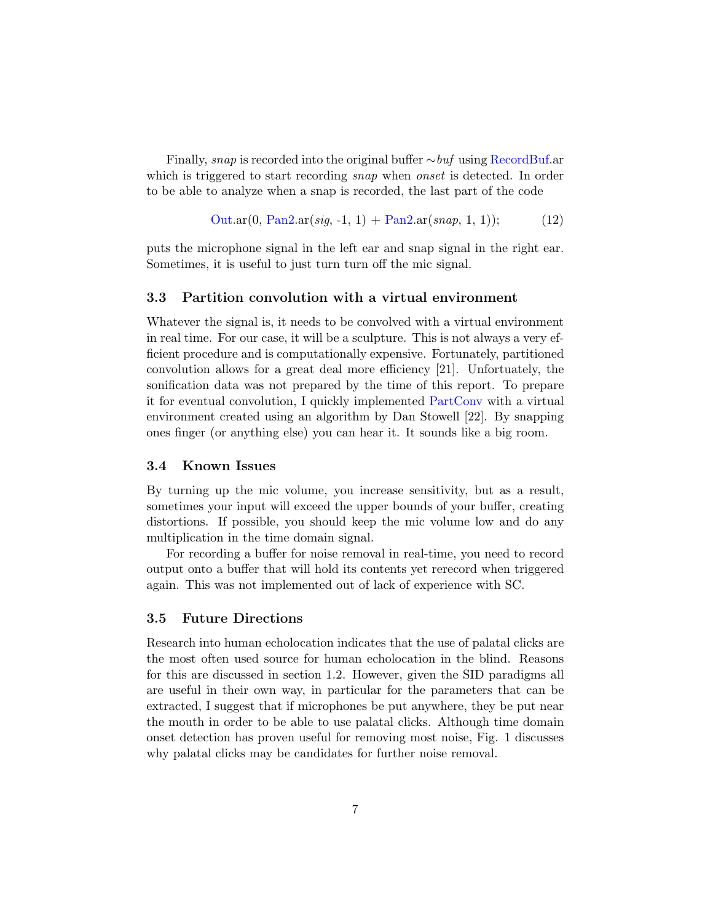Finally, snap is recorded into the original buffer ∼buf using RecordBuf.ar which is triggered to start recording snap when onset is detected. In order to be able to analyze when a snap is recorded, the last part of the code

$$
Out.ar(0, Pan2.ar(sig, -1, 1) + Pan2.ar(snap, 1, 1)); \t(12)
$$

puts the microphone signal in the left ear and snap signal in the right ear. Sometimes, it is useful to just turn turn off the mic signal.

#### 3.3 Partition convolution with a virtual environment

Whatever the signal is, it needs to be convolved with a virtual environment in real time. For our case, it will be a sculpture. This is not always a very efficient procedure and is computationally expensive. Fortunately, partitioned convolution allows for a great deal more efficiency [21]. Unfortuately, the sonification data was not prepared by the time of this report. To prepare it for eventual convolution, I quickly implemented PartConv with a virtual environment created using an algorithm by Dan Stowell [22]. By snapping ones finger (or anything else) you can hear it. It sounds like a big room.

## 3.4 Known Issues

By turning up the mic volume, you increase sensitivity, but as a result, sometimes your input will exceed the upper bounds of your buffer, creating distortions. If possible, you should keep the mic volume low and do any multiplication in the time domain signal.

For recording a buffer for noise removal in real-time, you need to record output onto a buffer that will hold its contents yet rerecord when triggered again. This was not implemented out of lack of experience with SC.

#### 3.5 Future Directions

Research into human echolocation indicates that the use of palatal clicks are the most often used source for human echolocation in the blind. Reasons for this are discussed in section 1.2. However, given the SID paradigms all are useful in their own way, in particular for the parameters that can be extracted, I suggest that if microphones be put anywhere, they be put near the mouth in order to be able to use palatal clicks. Although time domain onset detection has proven useful for removing most noise, Fig. 1 discusses why palatal clicks may be candidates for further noise removal.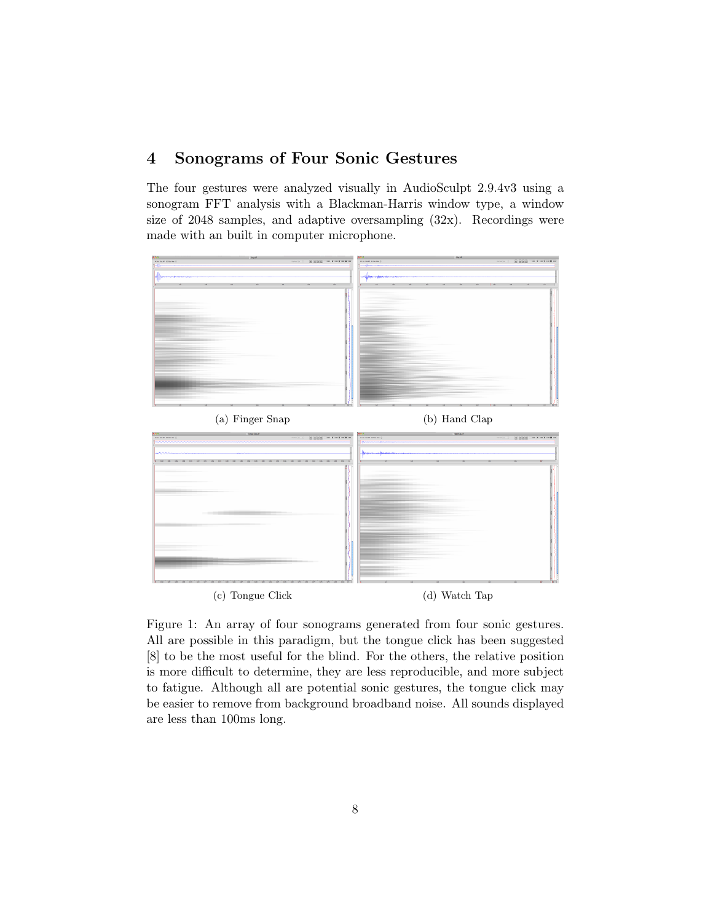# 4 Sonograms of Four Sonic Gestures

The four gestures were analyzed visually in AudioSculpt 2.9.4v3 using a sonogram FFT analysis with a Blackman-Harris window type, a window size of 2048 samples, and adaptive oversampling (32x). Recordings were made with an built in computer microphone.



Figure 1: An array of four sonograms generated from four sonic gestures. All are possible in this paradigm, but the tongue click has been suggested [8] to be the most useful for the blind. For the others, the relative position is more difficult to determine, they are less reproducible, and more subject to fatigue. Although all are potential sonic gestures, the tongue click may be easier to remove from background broadband noise. All sounds displayed are less than 100ms long.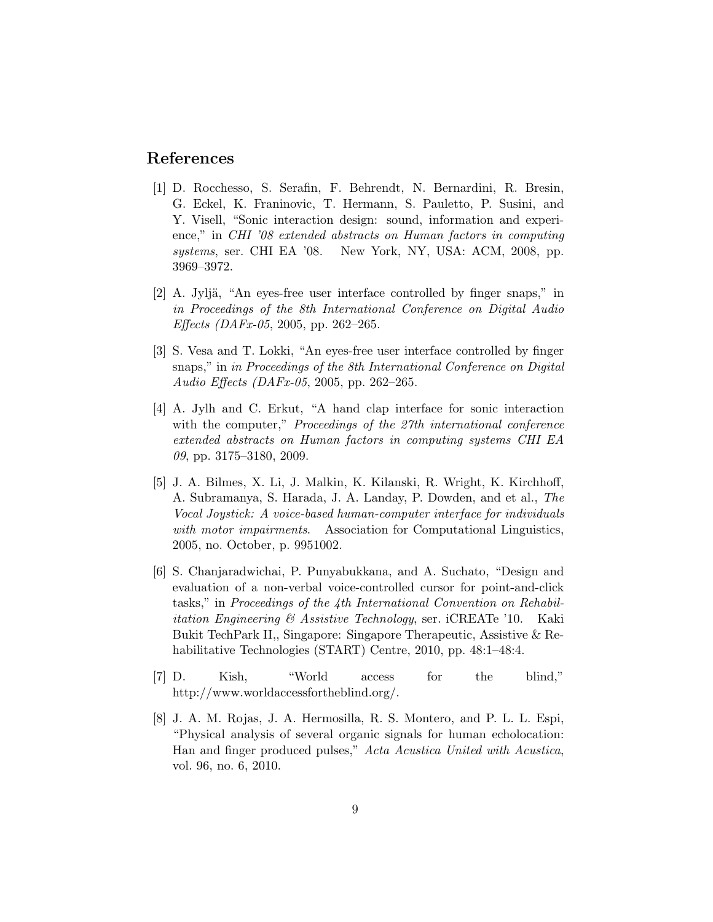## References

- [1] D. Rocchesso, S. Serafin, F. Behrendt, N. Bernardini, R. Bresin, G. Eckel, K. Franinovic, T. Hermann, S. Pauletto, P. Susini, and Y. Visell, "Sonic interaction design: sound, information and experience," in CHI '08 extended abstracts on Human factors in computing systems, ser. CHI EA '08. New York, NY, USA: ACM, 2008, pp. 3969–3972.
- [2] A. Jyljä, "An eyes-free user interface controlled by finger snaps," in in Proceedings of the 8th International Conference on Digital Audio Effects (DAFx-05, 2005, pp. 262–265.
- [3] S. Vesa and T. Lokki, "An eyes-free user interface controlled by finger snaps," in in Proceedings of the 8th International Conference on Digital Audio Effects (DAFx-05, 2005, pp. 262–265.
- [4] A. Jylh and C. Erkut, "A hand clap interface for sonic interaction with the computer," Proceedings of the 27th international conference extended abstracts on Human factors in computing systems CHI EA  $09$ , pp. 3175–3180, 2009.
- [5] J. A. Bilmes, X. Li, J. Malkin, K. Kilanski, R. Wright, K. Kirchhoff, A. Subramanya, S. Harada, J. A. Landay, P. Dowden, and et al., The Vocal Joystick: A voice-based human-computer interface for individuals with motor impairments. Association for Computational Linguistics, 2005, no. October, p. 9951002.
- [6] S. Chanjaradwichai, P. Punyabukkana, and A. Suchato, "Design and evaluation of a non-verbal voice-controlled cursor for point-and-click tasks," in Proceedings of the 4th International Convention on Rehabil*itation Engineering & Assistive Technology*, ser. *iCREATe* '10. Kaki Bukit TechPark II,, Singapore: Singapore Therapeutic, Assistive & Rehabilitative Technologies (START) Centre, 2010, pp. 48:1–48:4.
- [7] D. Kish, "World access for the blind," http://www.worldaccessfortheblind.org/.
- [8] J. A. M. Rojas, J. A. Hermosilla, R. S. Montero, and P. L. L. Espi, "Physical analysis of several organic signals for human echolocation: Han and finger produced pulses," Acta Acustica United with Acustica, vol. 96, no. 6, 2010.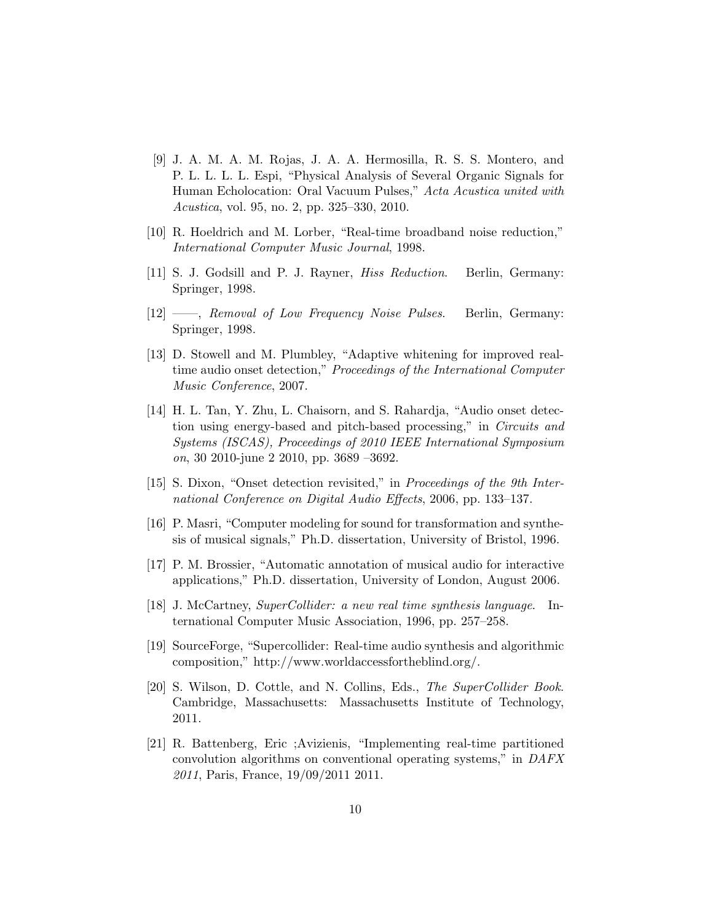- [9] J. A. M. A. M. Rojas, J. A. A. Hermosilla, R. S. S. Montero, and P. L. L. L. L. Espi, "Physical Analysis of Several Organic Signals for Human Echolocation: Oral Vacuum Pulses," Acta Acustica united with Acustica, vol. 95, no. 2, pp. 325–330, 2010.
- [10] R. Hoeldrich and M. Lorber, "Real-time broadband noise reduction," International Computer Music Journal, 1998.
- [11] S. J. Godsill and P. J. Rayner, Hiss Reduction. Berlin, Germany: Springer, 1998.
- [12] ——, Removal of Low Frequency Noise Pulses. Berlin, Germany: Springer, 1998.
- [13] D. Stowell and M. Plumbley, "Adaptive whitening for improved realtime audio onset detection," Proceedings of the International Computer Music Conference, 2007.
- [14] H. L. Tan, Y. Zhu, L. Chaisorn, and S. Rahardja, "Audio onset detection using energy-based and pitch-based processing," in Circuits and Systems (ISCAS), Proceedings of 2010 IEEE International Symposium on, 30 2010-june 2 2010, pp. 3689 –3692.
- [15] S. Dixon, "Onset detection revisited," in Proceedings of the 9th International Conference on Digital Audio Effects, 2006, pp. 133–137.
- [16] P. Masri, "Computer modeling for sound for transformation and synthesis of musical signals," Ph.D. dissertation, University of Bristol, 1996.
- [17] P. M. Brossier, "Automatic annotation of musical audio for interactive applications," Ph.D. dissertation, University of London, August 2006.
- [18] J. McCartney, SuperCollider: a new real time synthesis language. International Computer Music Association, 1996, pp. 257–258.
- [19] SourceForge, "Supercollider: Real-time audio synthesis and algorithmic composition," http://www.worldaccessfortheblind.org/.
- [20] S. Wilson, D. Cottle, and N. Collins, Eds., The SuperCollider Book. Cambridge, Massachusetts: Massachusetts Institute of Technology, 2011.
- [21] R. Battenberg, Eric ;Avizienis, "Implementing real-time partitioned convolution algorithms on conventional operating systems," in DAFX 2011, Paris, France, 19/09/2011 2011.